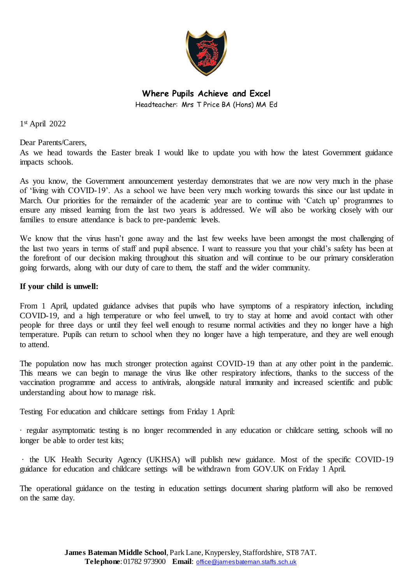

**Where Pupils Achieve and Excel** Headteacher: Mrs T Price BA (Hons) MA Ed

1 st April 2022

Dear Parents/Carers,

As we head towards the Easter break I would like to update you with how the latest Government guidance impacts schools.

As you know, the Government announcement yesterday demonstrates that we are now very much in the phase of 'living with COVID-19'. As a school we have been very much working towards this since our last update in March. Our priorities for the remainder of the academic year are to continue with 'Catch up' programmes to ensure any missed learning from the last two years is addressed. We will also be working closely with our families to ensure attendance is back to pre-pandemic levels.

We know that the virus hasn't gone away and the last few weeks have been amongst the most challenging of the last two years in terms of staff and pupil absence. I want to reassure you that your child's safety has been at the forefront of our decision making throughout this situation and will continue to be our primary consideration going forwards, along with our duty of care to them, the staff and the wider community.

## **If your child is unwell:**

From 1 April, updated guidance advises that pupils who have symptoms of a respiratory infection, including COVID-19, and a high temperature or who feel unwell, to try to stay at home and avoid contact with other people for three days or until they feel well enough to resume normal activities and they no longer have a high temperature. Pupils can return to school when they no longer have a high temperature, and they are well enough to attend.

The population now has much stronger protection against COVID-19 than at any other point in the pandemic. This means we can begin to manage the virus like other respiratory infections, thanks to the success of the vaccination programme and access to antivirals, alongside natural immunity and increased scientific and public understanding about how to manage risk.

Testing For education and childcare settings from Friday 1 April:

· regular asymptomatic testing is no longer recommended in any education or childcare setting, schools will no longer be able to order test kits;

· the UK Health Security Agency (UKHSA) will publish new guidance. Most of the specific COVID-19 guidance for education and childcare settings will be withdrawn from GOV.UK on Friday 1 April.

The operational guidance on the testing in education settings document sharing platform will also be removed on the same day.